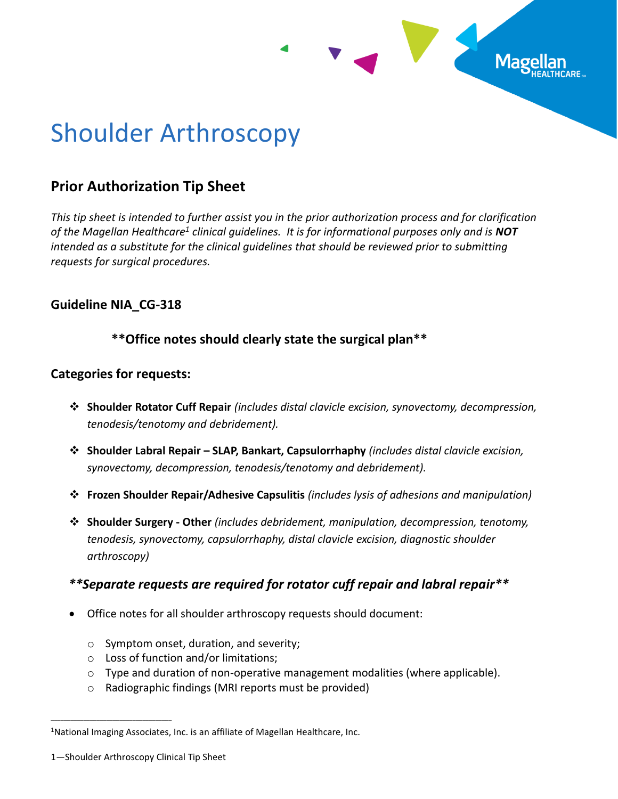

# Shoulder Arthroscopy

## **Prior Authorization Tip Sheet**

*This tip sheet is intended to further assist you in the prior authorization process and for clarification of the Magellan Healthcare<sup>1</sup> clinical guidelines. It is for informational purposes only and is NOT intended as a substitute for the clinical guidelines that should be reviewed prior to submitting requests for surgical procedures.*

## **Guideline NIA\_CG-318**

## **\*\*Office notes should clearly state the surgical plan\*\***

## **Categories for requests:**

- ❖ **Shoulder Rotator Cuff Repair** *(includes distal clavicle excision, synovectomy, decompression, tenodesis/tenotomy and debridement).*
- ❖ **Shoulder Labral Repair – SLAP, Bankart, Capsulorrhaphy** *(includes distal clavicle excision, synovectomy, decompression, tenodesis/tenotomy and debridement).*
- ❖ **Frozen Shoulder Repair/Adhesive Capsulitis** *(includes lysis of adhesions and manipulation)*
- ❖ **Shoulder Surgery - Other** *(includes debridement, manipulation, decompression, tenotomy, tenodesis, synovectomy, capsulorrhaphy, distal clavicle excision, diagnostic shoulder arthroscopy)*

## *\*\*Separate requests are required for rotator cuff repair and labral repair\*\**

- Office notes for all shoulder arthroscopy requests should document:
	- o Symptom onset, duration, and severity;
	- o Loss of function and/or limitations;
	- $\circ$  Type and duration of non-operative management modalities (where applicable).
	- o Radiographic findings (MRI reports must be provided)

\_\_\_\_\_\_\_\_\_\_\_\_\_\_\_\_\_\_\_\_\_\_\_\_\_\_\_\_\_\_\_\_\_\_\_\_\_

<sup>&</sup>lt;sup>1</sup>National Imaging Associates, Inc. is an affiliate of Magellan Healthcare, Inc.

<sup>1</sup>—Shoulder Arthroscopy Clinical Tip Sheet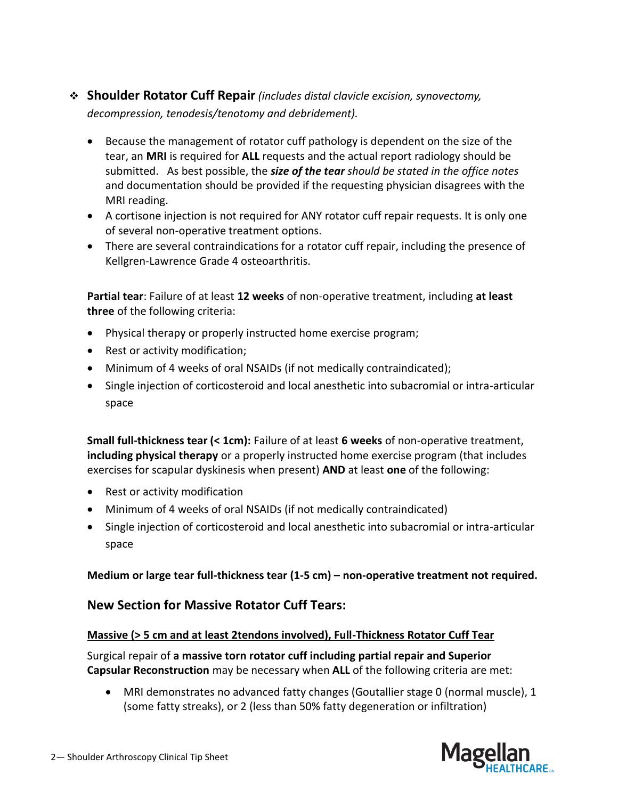- ❖ **Shoulder Rotator Cuff Repair** *(includes distal clavicle excision, synovectomy, decompression, tenodesis/tenotomy and debridement).*
	- Because the management of rotator cuff pathology is dependent on the size of the tear, an **MRI** is required for **ALL** requests and the actual report radiology should be submitted. As best possible, the *size of the tear should be stated in the office notes* and documentation should be provided if the requesting physician disagrees with the MRI reading.
	- A cortisone injection is not required for ANY rotator cuff repair requests. It is only one of several non-operative treatment options.
	- There are several contraindications for a rotator cuff repair, including the presence of Kellgren-Lawrence Grade 4 osteoarthritis.

**Partial tear**: Failure of at least **12 weeks** of non-operative treatment, including **at least three** of the following criteria:

- Physical therapy or properly instructed home exercise program;
- Rest or activity modification;
- Minimum of 4 weeks of oral NSAIDs (if not medically contraindicated);
- Single injection of corticosteroid and local anesthetic into subacromial or intra-articular space

**Small full-thickness tear (< 1cm):** Failure of at least **6 weeks** of non-operative treatment, **including physical therapy** or a properly instructed home exercise program (that includes exercises for scapular dyskinesis when present) **AND** at least **one** of the following:

- Rest or activity modification
- Minimum of 4 weeks of oral NSAIDs (if not medically contraindicated)
- Single injection of corticosteroid and local anesthetic into subacromial or intra-articular space

**Medium or large tear full-thickness tear (1-5 cm) – non-operative treatment not required.**

### **New Section for Massive Rotator Cuff Tears:**

#### **Massive (> 5 cm and at least 2tendons involved), Full-Thickness Rotator Cuff Tear**

Surgical repair of **a massive torn rotator cuff including partial repair and Superior Capsular Reconstruction** may be necessary when **ALL** of the following criteria are met:

• MRI demonstrates no advanced fatty changes (Goutallier stage 0 (normal muscle), 1 (some fatty streaks), or 2 (less than 50% fatty degeneration or infiltration)

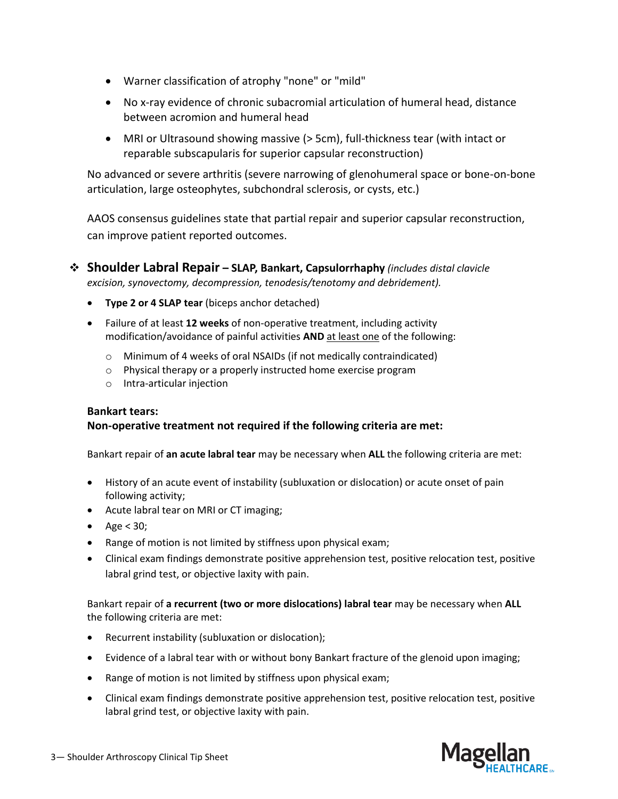- Warner classification of atrophy "none" or "mild"
- No x-ray evidence of chronic subacromial articulation of humeral head, distance between acromion and humeral head
- MRI or Ultrasound showing massive (> 5cm), full-thickness tear (with intact or reparable subscapularis for superior capsular reconstruction)

No advanced or severe arthritis (severe narrowing of glenohumeral space or bone-on-bone articulation, large osteophytes, subchondral sclerosis, or cysts, etc.)

AAOS consensus guidelines state that partial repair and superior capsular reconstruction, can improve patient reported outcomes.

- ❖ **Shoulder Labral Repair – SLAP, Bankart, Capsulorrhaphy** *(includes distal clavicle excision, synovectomy, decompression, tenodesis/tenotomy and debridement).*
	- **Type 2 or 4 SLAP tear** (biceps anchor detached)
	- Failure of at least **12 weeks** of non-operative treatment, including activity modification/avoidance of painful activities **AND** at least one of the following:
		- o Minimum of 4 weeks of oral NSAIDs (if not medically contraindicated)
		- o Physical therapy or a properly instructed home exercise program
		- o Intra-articular injection

#### **Bankart tears:**

#### **Non-operative treatment not required if the following criteria are met:**

Bankart repair of **an acute labral tear** may be necessary when **ALL** the following criteria are met:

- History of an acute event of instability (subluxation or dislocation) or acute onset of pain following activity;
- Acute labral tear on MRI or CT imaging;
- Age  $<$  30;
- Range of motion is not limited by stiffness upon physical exam;
- Clinical exam findings demonstrate positive apprehension test, positive relocation test, positive labral grind test, or objective laxity with pain.

Bankart repair of **a recurrent (two or more dislocations) labral tear** may be necessary when **ALL** the following criteria are met:

- Recurrent instability (subluxation or dislocation);
- Evidence of a labral tear with or without bony Bankart fracture of the glenoid upon imaging;
- Range of motion is not limited by stiffness upon physical exam;
- Clinical exam findings demonstrate positive apprehension test, positive relocation test, positive labral grind test, or objective laxity with pain.

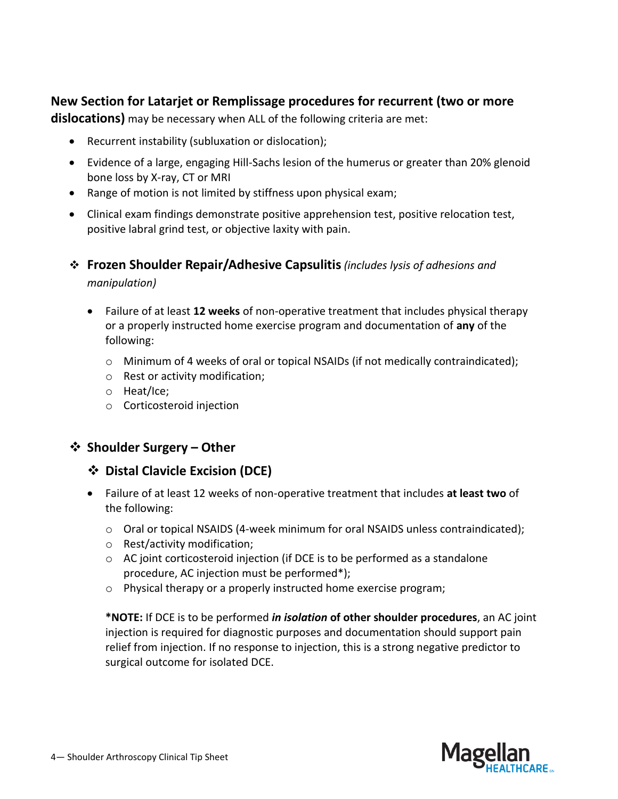## **New Section for Latarjet or Remplissage procedures for recurrent (two or more**

**dislocations)** may be necessary when ALL of the following criteria are met:

- Recurrent instability (subluxation or dislocation);
- Evidence of a large, engaging Hill-Sachs lesion of the humerus or greater than 20% glenoid bone loss by X-ray, CT or MRI
- Range of motion is not limited by stiffness upon physical exam;
- Clinical exam findings demonstrate positive apprehension test, positive relocation test, positive labral grind test, or objective laxity with pain.
- ❖ **Frozen Shoulder Repair/Adhesive Capsulitis***(includes lysis of adhesions and manipulation)*
	- Failure of at least **12 weeks** of non-operative treatment that includes physical therapy or a properly instructed home exercise program and documentation of **any** of the following:
		- o Minimum of 4 weeks of oral or topical NSAIDs (if not medically contraindicated);
		- o Rest or activity modification;
		- o Heat/Ice;
		- o Corticosteroid injection

## ❖ **Shoulder Surgery – Other**

- ❖ **Distal Clavicle Excision (DCE)**
- Failure of at least 12 weeks of non-operative treatment that includes **at least two** of the following:
	- $\circ$  Oral or topical NSAIDS (4-week minimum for oral NSAIDS unless contraindicated);
	- o Rest/activity modification;
	- $\circ$  AC joint corticosteroid injection (if DCE is to be performed as a standalone procedure, AC injection must be performed\*);
	- o Physical therapy or a properly instructed home exercise program;

**\*NOTE:** If DCE is to be performed *in isolation* **of other shoulder procedures**, an AC joint injection is required for diagnostic purposes and documentation should support pain relief from injection. If no response to injection, this is a strong negative predictor to surgical outcome for isolated DCE.